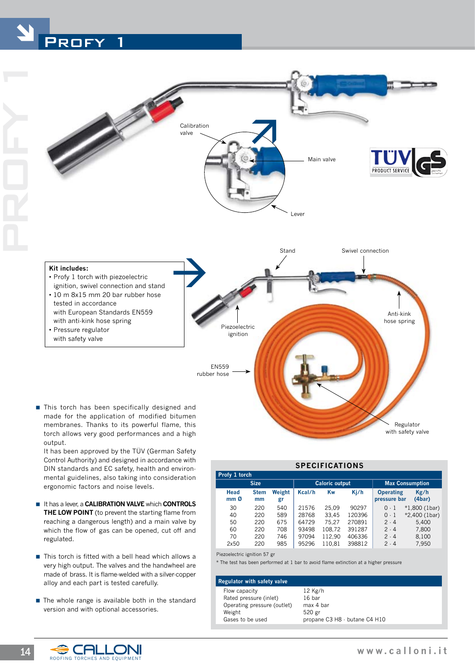







made for the application of modified bitumen membranes. Thanks to its powerful flame, this torch allows very good performances and a high output

 It has been approved by the TÜV (German Safety Control Authority) and designed in accordance with DIN standards and EC safety, health and environmental guidelines, also taking into consideration ergonomic factors and noise levels.

- **E** It has a lever, a **CALIBRATION VALVE** which **CONTROLS THE LOW POINT** (to prevent the starting flame from reaching a dangerous length) and a main valve by which the flow of gas can be opened, cut off and regulated.
- $\blacksquare$  This torch is fitted with a bell head which allows a very high output. The valves and the handwheel are made of brass. It is flame-welded with a silver-copper alloy and each part is tested carefully.
- $\blacksquare$  The whole range is available both in the standard version and with optional accessories.

| <b>SPECIFICATIONS</b>   |                   |              |                       |        |        |                                  |                 |  |  |  |  |
|-------------------------|-------------------|--------------|-----------------------|--------|--------|----------------------------------|-----------------|--|--|--|--|
| Profy 1 torch           |                   |              |                       |        |        |                                  |                 |  |  |  |  |
| <b>Size</b>             |                   |              | <b>Caloric output</b> |        |        | <b>Max Consumption</b>           |                 |  |  |  |  |
| Head<br>mm <sub>0</sub> | <b>Stem</b><br>mm | Weight<br>gr | Kcal/h                | Kw     | Kj/h   | <b>Operating</b><br>pressure bar | Kg/h<br>(4bar)  |  |  |  |  |
| 30                      | 220               | 540          | 21576                 | 25.09  | 90297  | $0-1$                            | $*1,800$ (1bar) |  |  |  |  |
| 40                      | 220               | 589          | 28768                 | 33.45  | 120396 | $0-1$                            | *2,400 (1bar)   |  |  |  |  |
| 50                      | 220               | 675          | 64729                 | 75.27  | 270891 | $2 - 4$                          | 5.400           |  |  |  |  |
| 60                      | 220               | 708          | 93498                 | 108,72 | 391287 | $2 - 4$                          | 7.800           |  |  |  |  |
| 70                      | 220               | 746          | 97094                 | 112.90 | 406336 | 2.4                              | 8.100           |  |  |  |  |
| 2x50                    | 220               | 985          | 95296                 | 110.81 | 398812 | $2 \cdot 4$                      | 7,950           |  |  |  |  |

Piezoelectric ignition 57 gr

\* The test has been performed at 1 bar to avoid flame extinction at a higher pressure

Lever

Main valve

## **Regulator with safety valve**

 Flow capacity 12 Kg/h Rated pressure (inlet) 16 bar Operating pressure (outlet) max 4 bar Weight 520 gr Gases to be used propane C3 H8 - butane C4 H10



Regulator with safety valve